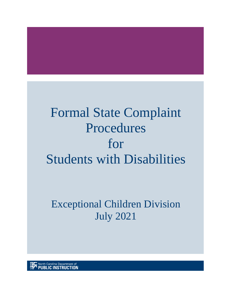# Formal State Complaint Procedures for Students with Disabilities

# Exceptional Children Division July 2021

North Carolina Department of<br>**PUBLIC INSTRUCTION**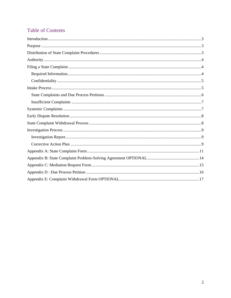# **Table of Contents**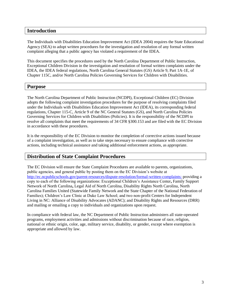# <span id="page-2-0"></span>**Introduction**

The Individuals with Disabilities Education Improvement Act (IDEA 2004) requires the State Educational Agency (SEA) to adopt written procedures for the investigation and resolution of any formal written complaint alleging that a public agency has violated a requirement of the IDEA.

This document specifies the procedures used by the North Carolina Department of Public Instruction, Exceptional Children Division in the investigation and resolution of formal written complaints under the IDEA, the IDEA federal regulations, North Carolina General Statutes (GS) Article 9, Part 1A-1E, of Chapter 115C, and/or North Carolina Policies Governing Services for Children with Disabilities.

# <span id="page-2-1"></span>**Purpose**

The North Carolina Department of Public Instruction (NCDPI), Exceptional Children (EC) Division adopts the following complaint investigation procedures for the purpose of resolving complaints filed under the Individuals with Disabilities Education Improvement Act (IDEA), its corresponding federal regulations, Chapter 115-C, Article 9 of the NC General Statutes (GS), and North Carolina Policies Governing Services for Children with Disabilities (Policies). It is the responsibility of the NCDPI to resolve all complaints that meet the requirements of 34 CFR §300.153 and are filed with the EC Division in accordance with these procedures.

It is the responsibility of the EC Division to monitor the completion of corrective actions issued because of a complaint investigation, as well as to take steps necessary to ensure compliance with corrective actions, including technical assistance and taking additional enforcement actions, as appropriate.

# <span id="page-2-2"></span>**Distribution of State Complaint Procedures**

The EC Division will ensure the State Complaint Procedures are available to parents, organizations, public agencies, and general public by posting them on the EC Division's website at <http://ec.ncpublicschools.gov/parent-resources/dispute-resolution/formal-written-complaints;> providing a copy to each of the following organizations: Exceptional Children's Assistance Center**,** Family Support Network of North Carolina**,** Legal Aid of North Carolina, Disability Rights North Carolina, North Carolina Families United (Statewide Family Network and the State Chapter of the National Federation of Families); Children's Law Clinic at Duke Law School; and two non-profit Centers for Independent Living in NC: Alliance of Disability Advocates (ADANC); and Disability Rights and Resources (DRR) and mailing or emailing a copy to individuals and organizations upon request.

In compliance with federal law, the NC Department of Public Instruction administers all state-operated programs, employment activities and admissions without discrimination because of race, religion, national or ethnic origin, color, age, military service, disability, or gender, except where exemption is appropriate and allowed by law.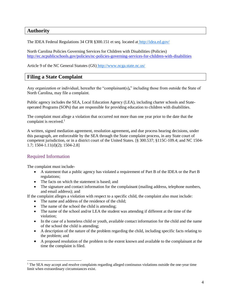# <span id="page-3-0"></span>**Authority**

The IDEA Federal Regulations 34 CFR §300.151 et seq. located at <http://idea.ed.gov/>

North Carolina Policies Governing Services for Children with Disabilities (Policies) <http://ec.ncpublicschools.gov/policies/nc-policies-governing-services-for-children-with-disabilities>

Article 9 of the NC General Statutes (GS) <http://www.ncga.state.nc.us/>

# <span id="page-3-1"></span>**Filing a State Complaint**

Any organization or individual, hereafter the "complainant(s)**,**" including those from outside the State of North Carolina, may file a complaint.

Public agency includes the SEA, Local Education Agency (LEA), including charter schools and Stateoperated Programs (SOPs) that are responsible for providing education to children with disabilities.

The complaint must allege a violation that occurred not more than one year prior to the date that the complaint is received. $<sup>1</sup>$ </sup>

A written, signed mediation agreement, resolution agreement**,** and due process hearing decisions, under this paragraph, are enforceable by the SEA through the State complaint process, in any State court of competent jurisdiction, or in a district court of the United States. [§ 300.537; §115C-109.4; and NC 1504- 1.7; 1504-1.11(d)(2); 1504-2.8]

# <span id="page-3-2"></span>Required Information

The complaint must include-

- A statement that a public agency has violated a requirement of Part B of the IDEA or the Part B regulations;
- The facts on which the statement is based; and
- The signature and contact information for the complainant (mailing address, telephone numbers, and email address); and

If the complaint alleges a violation with respect to a specific child, the complaint also must include:

- The name and address of the residence of the child:
- The name of the school the child is attending;
- The name of the school and/or LEA the student was attending if different at the time of the violation;
- In the case of a homeless child or youth, available contact information for the child and the name of the school the child is attending;
- A description of the nature of the problem regarding the child, including specific facts relating to the problem; and
- A proposed resolution of the problem to the extent known and available to the complainant at the time the complaint is filed.

<sup>&</sup>lt;sup>1</sup> The SEA *may* accept and resolve complaints regarding alleged continuous violations outside the one-year time limit when extraordinary circumstances exist.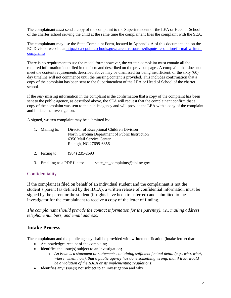The complainant *must* send a copy of the complaint to the Superintendent of the LEA or Head of School of the charter school serving the child at the same time the complainant files the complaint with the SEA.

The complainant may use the State Complaint Form, located in Appendix A of this document and on the EC Division website at [http://ec.ncpublicschools.gov/parent-resources/dispute-resolution/formal-written](http://ec.ncpublicschools.gov/parent-resources/dispute-resolution/formal-written-complaints)[complaints.](http://ec.ncpublicschools.gov/parent-resources/dispute-resolution/formal-written-complaints)

There is no requirement to use the model form; however, the written complaint must contain all the required information identified in the form and described on the previous page . A complaint that does not meet the content requirements described above may be dismissed for being insufficient, or the sixty (60) day timeline will not commence until the missing content is provided. This includes confirmation that a copy of the complaint has been sent to the Superintendent of the LEA or Head of School of the charter school.

If the *only* missing information in the complaint is the confirmation that a copy of the complaint has been sent to the public agency, as described above, the SEA will request that the complainant confirm that a copy of the complaint was sent to the public agency and will provide the LEA with a copy of the complaint and initiate the investigation.

A signed, written complaint may be submitted by:

|  | 1. Mailing to: | Director of Exceptional Children Division       |
|--|----------------|-------------------------------------------------|
|  |                | North Carolina Department of Public Instruction |
|  |                | 6356 Mail Service Center                        |
|  |                | Raleigh, NC 27699-6356                          |

- 2. Faxing to: (984) 235-2693
- 3. Emailing as a PDF file to: state ec complaints@dpi.nc.gov

# <span id="page-4-0"></span>Confidentiality

If the complaint is filed on behalf of an individual student and the complainant is not the student's parent (as defined by the IDEA), a written release of confidential information must be signed by the parent or the student (if rights have been transferred) and submitted to the investigator for the complainant to receive a copy of the letter of finding.

*The complainant should provide the contact information for the parent(s), i.e.*, *mailing address, telephone numbers, and email address.*

# <span id="page-4-1"></span>**Intake Process**

The complainant and the public agency shall be provided with written notification (intake letter) that:

- Acknowledges receipt of the complaint;
- Identifies the issue(s) subject to an investigation**;** 
	- o *An issue is a statement or statements containing sufficient factual detail (e.g., who, what, where, when, how), that a public agency has done something wrong, that if true, would be a violation of the IDEA or its implementing regulations*;
- Identifies any issue(s) not subject to an investigation and why**;**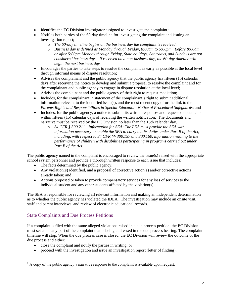- Identifies the EC Division investigator assigned to investigate the complaint**;**
- Notifies both parties of the 60-day timeline for investigating the complaint and issuing an investigation report**;**
	- o *The 60-day timeline begins on the business day the complaint is received;*
	- o *Business day is defined as Monday through Friday, 8:00am to 5:00pm. Before 8:00am or after 5:00pm Monday through Friday, State holidays, Saturdays, and Sundays are not considered business days. If received on a non-business day, the 60-day timeline will begin the next business day.*
- Encourages the parties to take steps to resolve the complaint as early as possible at the local level through informal means of dispute resolution**;**
- Advises the complainant and the public agency that the public agency has fifteen (15) calendar days after receiving the notice to develop and submit a proposal to resolve the complaint and for the complainant and public agency to engage in dispute resolution at the local level;
- Advises the complainant and the public agency of their right to request mediation**;**
- Includes, for the complainant, a statement of the complainant's right to submit additional information relevant to the identified issue(s)**,** and the most recent copy of or the link to the *Parents Rights and Responsibilities in Special Education: Notice of Procedural Safeguards*; and
- Includes, for the public agency, a notice to submit its written response<sup>2</sup> and requested documents within fifteen (15) calendar days of receiving the written notification. The documents and narrative must be received by the EC Division no later than the 15th calendar day.
	- o *34 CFR § 300.211 - Information for SEA: The LEA must provide the SEA with information necessary to enable the SEA to carry out its duties under Part B of the Act, including, with respect to 34 CFR §§ 300.157 and 300.160, information relating to the performance of children with disabilities participating in programs carried out under Part B of the Act.*

The public agency named in the complaint is encouraged to review the issue(s) raised with the appropriate school system personnel and provide a thorough written response to each issue that includes:

- The facts determined by the public agency;
- Any violation(s) identified, and a proposal of corrective action(s) and/or corrective actions already taken; and
- Actions proposed or taken to provide compensatory services for any loss of services to the individual student and any other students affected by the violation(s).

The SEA is responsible for reviewing all relevant information and making an independent determination as to whether the public agency has violated the IDEA. The investigation may include an onsite visit, staff and parent interviews, and review of electronic educational records.

# <span id="page-5-0"></span>State Complaints and Due Process Petitions

If a complaint is filed with the same alleged violations raised in a due process petition, the EC Division must set aside any part of the complaint that is being addressed in the due process hearing. The complaint timeline will stop. When the due process case is closed, the EC Division will review the outcome of the due process and either:

- close the complaint and notify the parties in writing; or
- proceed with the investigation and issue an investigation report (letter of finding).

 $2 A$  copy of the public agency's narrative response to the complaint is available upon request.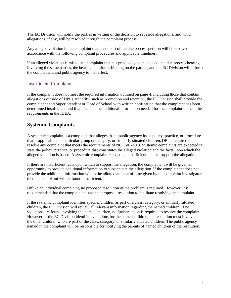The EC Division will notify the parties in writing of the decision to set aside allegations, and which allegations, if any, will be resolved through the complaint process.

Any alleged violation in the complaint that is not part of the due process petition will be resolved in accordance with the following complaint procedures and applicable timelines.

If an alleged violation is raised in a complaint that has previously been decided in a due process hearing involving the same parties, the hearing decision is binding on the parties, and the EC Division will inform the complainant and public agency to that effect.

# <span id="page-6-0"></span>Insufficient Complaints

If the complaint does not meet the required information outlined on page 4, including those that contain allegations outside of DPI's authority, such as promotion and retention, the EC Division shall provide the complainant and Superintendent or Head of School with written notification that the complaint has been determined insufficient and if applicable, the additional information needed for the complaint to meet the requirements in the IDEA.

# <span id="page-6-1"></span>**Systemic Complaints**

A systemic complaint is a complaint that alleges that a public agency has a policy, practice, or procedure that is applicable to a particular group or category, or similarly situated children. DPI is required to resolve any complaint that meets the requirements of NC 1501-10.3. Systemic complaints are expected to state the policy, practice, or procedure that constitutes the alleged violation and the facts upon which the alleged violation is based. A systemic complaint *must* contain sufficient facts to support the allegation.

If there are insufficient facts upon which to support the allegation, the complainant will be given an opportunity to provide additional information to substantiate the allegation. If the complainant does not provide the additional information within the allotted amount of time given by the complaint investigator, then the complaint will be found insufficient.

Unlike an individual complaint, no proposed resolution of the problem is required. However, it is recommended that the complainant state the proposed resolution to facilitate resolving the complaint.

If the systemic complaint identifies specific children as part of a class, category, or similarly situated children, the EC Division will review all relevant information regarding the named children. If no violations are found involving the named children, no further action is required to resolve the complaint. However, if the EC Division identifies violations for the named children, the resolution must involve all the other children who are part of the class, category, or similarly situated children. The public agency named in the complaint will be responsible for notifying the parents of named children of the resolution.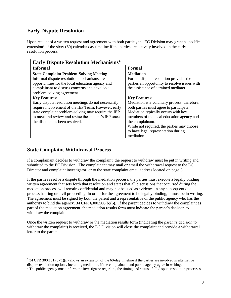# <span id="page-7-0"></span>**Early Dispute Resolution**

Upon receipt of a written request and agreement with both parties**,** the EC Division may grant a specific extension<sup>3</sup> of the sixty (60) calendar day timeline if the parties are actively involved in the early resolution process.

| <b>Early Dispute Resolution Mechanisms<sup>4</sup></b> |                                               |
|--------------------------------------------------------|-----------------------------------------------|
| <b>Informal</b>                                        | <b>Formal</b>                                 |
| <b>State Complaint Problem-Solving Meeting</b>         | <b>Mediation</b>                              |
| Informal dispute resolution mechanisms are             | Formal dispute resolution provides the        |
| opportunities for the local education agency and       | parties an opportunity to resolve issues with |
| complainant to discuss concerns and develop a          | the assistance of a trained mediator.         |
| problem-solving agreement.                             |                                               |
| <b>Key Features:</b>                                   | <b>Key Features:</b>                          |
| Early dispute resolution meetings do not necessarily   | Mediation is a voluntary process; therefore,  |
| require involvement of the IEP Team. However, early    | both parties must agree to participate.       |
| state complaint problem-solving may require the IEP    | Mediation typically occurs with key           |
| to meet and review and revise the student's IEP once   | members of the local education agency and     |
| the dispute has been resolved.                         | the complainant.                              |
|                                                        | While not required, the parties may choose    |
|                                                        | to have legal representation during           |
|                                                        | mediation.                                    |

# <span id="page-7-1"></span>**State Complaint Withdrawal Process**

If a complainant decides to withdraw the complaint, the request to withdraw must be put in writing and submitted to the EC Division. The complainant may mail or email the withdrawal request to the EC Director and complaint investigator, or to the state complaint email address located on page 5.

If the parties resolve a dispute through the mediation process, the parties must execute a legally binding written agreement that sets forth that resolution and states that all discussions that occurred during the mediation process will remain confidential and may not be used as evidence in any subsequent due process hearing or civil proceeding. In order for the agreement to be legally binding, it must be in writing. The agreement must be signed by both the parent and a representative of the public agency who has the authority to bind the agency. 34 CFR §300.506(b)(6). If the parent decides to withdraw the complaint as part of the mediation agreement, the mediation results form must indicate the parent's decision to withdraw the complaint.

Once the written request to withdraw or the mediation results form (indicating the parent's decision to withdraw the complaint) is received, the EC Division will close the complaint and provide a withdrawal letter to the parties.

<sup>3</sup> 34 CFR 300.151.(b)(1)(ii) allows an extension of the 60-day timeline if the parties are involved in alternative dispute resolution options, including mediation, if the complainant and public agency agree in writing.

<sup>4</sup> The public agency must inform the investigator regarding the timing and status of all dispute resolution processes.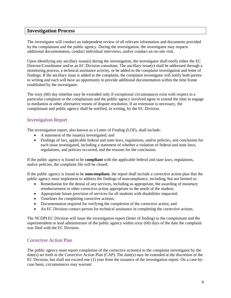# <span id="page-8-0"></span>**Investigation Process**

The investigator will conduct an independent review of all relevant information and documents provided by the complainant and the public agency. During the investigation, the investigator may request additional documentation, conduct individual interviews, and/or conduct an on-site visit.

Upon identifying any ancillary issue(s) during the investigation, the investigator shall notify either the EC Director/Coordinator and/or an EC Division consultant. The ancillary issue(s) shall be addressed through a monitoring process, a technical assistance activity, or be added to the complaint investigation and letter of findings. If the ancillary issue is added to the complaint, the complaint investigator will notify both parties in writing and each will have an opportunity to provide additional documentation within the time frame established by the investigator.

The sixty (60) day timeline may be extended only if exceptional circumstances exist with respect to a particular complaint or the complainant and the public agency involved agree to extend the time to engage in mediation or other alternative means of dispute resolution. If an extension is necessary, the complainant and public agency shall be notified, in writing, by the EC Division.

# <span id="page-8-1"></span>Investigation Report

The investigation report, also known as a Letter of Finding (LOF), shall include:

- A statement of the issue(s) investigated; and
- Findings of fact, applicable federal and state laws, regulations, and/or policies, and conclusion for each issue investigated, including a statement of whether a violation of federal and state laws, regulations, and policies occurred, and the reasons for the conclusion.

If the public agency is found to be **compliant** with the applicable federal and state laws, regulations, and/or policies, the complaint file will be closed.

If the public agency is found to be **noncompliant**, the report shall include a corrective action plan that the public agency must implement to address the findings of noncompliance, including, but not limited to:

- Remediation for the denial of any services, including as appropriate, the awarding of monetary reimbursement or other corrective action appropriate to the needs of the student;
- Appropriate future provision of services for all students with disabilities impacted;
- Timelines for completing corrective actions;
- Documentation required for verifying the completion of the corrective action; and
- An EC Division contact person for technical assistance in completing the corrective actions.

The NCDPI EC Division will issue the investigation report (letter of finding) to the complainant and the superintendent or lead administrator of the public agency within sixty (60) days of the date the complaint was filed with the EC Division.

# <span id="page-8-2"></span>Corrective Action Plan

The public agency must report completion of the corrective action(s) to the complaint investigator by the date(s) set forth in the Corrective Action Plan (CAP). The date(s) may be extended at the discretion of the EC Division, but shall not exceed one (1) year from the issuance of the investigation report. On a case-bycase basis, circumstances may warrant: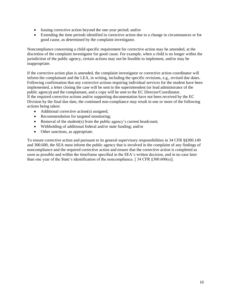- Issuing corrective action beyond the one-year period; and/or
- Extending the time periods identified in corrective action due to a change in circumstances or for good cause, as determined by the complaint investigator.

Noncompliance concerning a child-specific requirement for corrective action may be amended, at the discretion of the complaint investigator for good cause. For example, when a child is no longer within the jurisdiction of the public agency, certain actions may not be feasible to implement, and/or may be inappropriate.

If the corrective action plan is amended, the complaint investigator or corrective action coordinator will inform the complainant and the LEA, in writing, including the specific revisions, e.g., revised due dates. Following confirmation that any corrective actions requiring individual services for the student have been implemented, a letter closing the case will be sent to the superintendent (or lead administrator of the public agency**)** and the complainant, and a copy will be sent to the EC Director/Coordinator. If the required corrective actions and/or supporting documentation have not been received by the EC Division by the final due date, the continued non-compliance may result in one or more of the following actions being taken:

- Additional corrective action(s) assigned;
- Recommendation for targeted monitoring;
- Removal of the student(s) from the public agency's current headcount;
- Withholding of additional federal and/or state funding; and/or
- Other sanctions, as appropriate.

To ensure corrective action and pursuant to its general supervisory responsibilities in 34 CFR §§300.149 and 300.600, the SEA must inform the public agency that is involved in the complaint of any findings of noncompliance and the required corrective action and ensure that the corrective action is completed as soon as possible and within the timeframe specified in the SEA's written decision, and in no case later than one year of the State's identification of the noncompliance. [ $34$  CFR  $$300.600(e)$ ].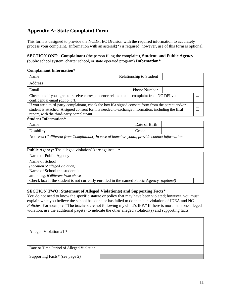# <span id="page-10-0"></span>**Appendix A: State Complaint Form**

This form is designed to provide the NCDPI EC Division with the required information to accurately process your complaint. Information with an asterisk(\*) is required; however, use of this form is optional.

**SECTION ONE: Complainant** (the person filing the complaint), **Student, and Public Agency**  (public school system, charter school, or state operated program) **Information\***

#### **Complainant Information\***

| Name                                                                                                                                                                                                                                                  |  |  |       | <b>Relationship to Student</b> |  |  |
|-------------------------------------------------------------------------------------------------------------------------------------------------------------------------------------------------------------------------------------------------------|--|--|-------|--------------------------------|--|--|
| Address                                                                                                                                                                                                                                               |  |  |       |                                |  |  |
| Email                                                                                                                                                                                                                                                 |  |  |       | <b>Phone Number</b>            |  |  |
| Check box if you agree to receive correspondence related to this complaint from NC DPI via<br>confidential email (optional).                                                                                                                          |  |  |       |                                |  |  |
| If you are a third-party complainant, check the box if a signed consent form from the parent and/or<br>student is attached. A signed consent form is needed to exchange information, including the final<br>report, with the third-party complainant. |  |  |       |                                |  |  |
| <b>Student Information*</b>                                                                                                                                                                                                                           |  |  |       |                                |  |  |
| Name                                                                                                                                                                                                                                                  |  |  |       | Date of Birth                  |  |  |
| Disability                                                                                                                                                                                                                                            |  |  | Grade |                                |  |  |
| Address: (if different from Complainant) In case of homeless youth, provide contact information.                                                                                                                                                      |  |  |       |                                |  |  |
|                                                                                                                                                                                                                                                       |  |  |       |                                |  |  |
| <b>Public Agency:</b> The alleged violation(s) are against $-$ *                                                                                                                                                                                      |  |  |       |                                |  |  |
| Name of Public Agency                                                                                                                                                                                                                                 |  |  |       |                                |  |  |
| Name of School<br>(Location of alleged violation)<br>Name of School the student is                                                                                                                                                                    |  |  |       |                                |  |  |

attending, *if different from above*

Check box if the student is not currently enrolled in the named Public Agency *(optional)*  $\Box$ 

### **SECTION TWO: Statement of Alleged Violation(s) and Supporting Facts\***

You do not need to know the specific statute or policy that may have been violated; however, you must explain what you believe the school has done or has failed to do that is in violation of IDEA and NC *Policies*. For example, "The teachers are not following my child's IEP." If there is more than one alleged violation, use the additional page(s) to indicate the other alleged violation(s) and supporting facts.

| Alleged Violation #1 $*$                 |  |
|------------------------------------------|--|
| Date or Time Period of Alleged Violation |  |
| Supporting Facts* (see page 2)           |  |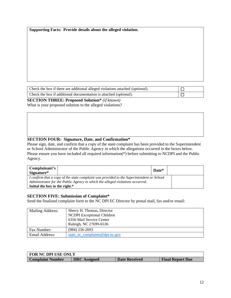**Supporting Facts: Provide details about the alleged violation.** 

| Check the box if there are additional alleged violations attached ( <i>optional</i> ). |  |
|----------------------------------------------------------------------------------------|--|
| Check the box if additional documentation is attached ( <i>optional</i> ).             |  |

**SECTION THREE: Proposed Solution\*** *(if known)*

What is your proposed solution to the alleged violations?

### **SECTION FOUR: Signature, Date, and Confirmation\***

Please sign, date, and confirm that a copy of the state complaint has been provided to the Superintendent or School Administrator of the Public Agency in which the allegations occurred in the boxes below. Please ensure you have included all required information(\*) before submitting to NCDPI and the Public Agency.

| Complainant's<br>Signature*                                                               |  | Date* |  |
|-------------------------------------------------------------------------------------------|--|-------|--|
| I confirm that a copy of the state complaint was provided to the Superintendent or School |  |       |  |
| Administrator for the Public Agency in which the alleged violations occurred.             |  |       |  |
| Initial the box to the right.*                                                            |  |       |  |

### **SECTION FIVE: Submission of Complaint\***

Send the finalized complaint form to the NC DPI EC Director by postal mail, fax and/or email:

| Mailing Address: | Sherry H. Thomas, Director<br><b>NCDPI</b> Exceptional Children<br>6356 Mail Service Center<br>Raleigh, NC 27699-6536 |
|------------------|-----------------------------------------------------------------------------------------------------------------------|
| Fax Number:      | $(984)$ 236-2693                                                                                                      |
| Email Address:   | state ec complaints @ dpi.nc.gov                                                                                      |

| <b>FOR NC DPI USE ONLY</b> |                     |                      |                         |
|----------------------------|---------------------|----------------------|-------------------------|
| <b>Complaint Number</b>    | <b>DRC</b> Assigned | <b>Date Received</b> | <b>Final Report Due</b> |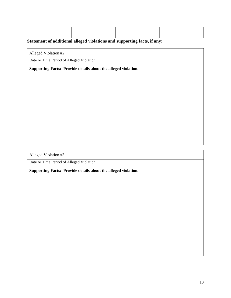# **Statement of additional alleged violations and supporting facts, if any:**

| Alleged Violation #2                     |  |
|------------------------------------------|--|
| Date or Time Period of Alleged Violation |  |

**Supporting Facts: Provide details about the alleged violation.** 

| Alleged Violation #3                     |  |
|------------------------------------------|--|
| Date or Time Period of Alleged Violation |  |

**Supporting Facts: Provide details about the alleged violation.**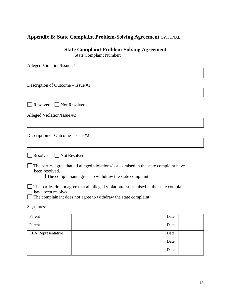# <span id="page-13-0"></span>**Appendix B: State Complaint Problem-Solving Agreement** OPTIONAL

# **State Complaint Problem-Solving Agreement**

State Complaint Number: \_\_\_\_\_\_\_\_\_\_\_\_\_\_\_

| Alleged Violation/Issue #1        |                                                                 |                                                                                          |      |
|-----------------------------------|-----------------------------------------------------------------|------------------------------------------------------------------------------------------|------|
|                                   |                                                                 |                                                                                          |      |
| Description of Outcome – Issue #1 |                                                                 |                                                                                          |      |
|                                   |                                                                 |                                                                                          |      |
| Resolved<br>Not Resolved          |                                                                 |                                                                                          |      |
| Alleged Violation/Issue #2        |                                                                 |                                                                                          |      |
|                                   |                                                                 |                                                                                          |      |
| Description of Outcome– Issue #2  |                                                                 |                                                                                          |      |
|                                   |                                                                 |                                                                                          |      |
| Not Resolved<br>Resolved          |                                                                 |                                                                                          |      |
| been resolved.                    | The complainant agrees to withdraw the state complaint.         | The parties agree that all alleged violations/issues raised in the state complaint have  |      |
| have been resolved.               | The complainant does not agree to withdraw the state complaint. | The parties do not agree that all alleged violation/issues raised in the state complaint |      |
| Signatures:                       |                                                                 |                                                                                          |      |
| Parent                            |                                                                 |                                                                                          | Date |
| Parent                            |                                                                 |                                                                                          | Date |
| <b>LEA</b> Representative         |                                                                 |                                                                                          | Date |

Date

Date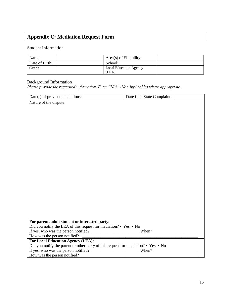# <span id="page-14-0"></span>**Appendix C: Mediation Request Form**

# Student Information

| Name:          | Area(s) of Eligibility:       |  |
|----------------|-------------------------------|--|
| Date of Birth: | School:                       |  |
| Grade:         | <b>Local Education Agency</b> |  |
|                | (LEA):                        |  |

# Background Information

*Please provide the requested information. Enter "N/A" (Not Applicable) where appropriate.*

| Nature of the dispute:                                                             |
|------------------------------------------------------------------------------------|
|                                                                                    |
|                                                                                    |
|                                                                                    |
|                                                                                    |
|                                                                                    |
|                                                                                    |
|                                                                                    |
|                                                                                    |
|                                                                                    |
|                                                                                    |
|                                                                                    |
|                                                                                    |
|                                                                                    |
|                                                                                    |
|                                                                                    |
|                                                                                    |
|                                                                                    |
|                                                                                    |
|                                                                                    |
|                                                                                    |
|                                                                                    |
|                                                                                    |
|                                                                                    |
|                                                                                    |
| For parent, adult student or interested party:                                     |
|                                                                                    |
| Did you notify the LEA of this request for mediation? • Yes • No                   |
|                                                                                    |
| How was the person notified?                                                       |
| <b>For Local Education Agency (LEA):</b>                                           |
| Did you notify the parent or other party of this request for mediation? • Yes • No |
| How was the person notified?                                                       |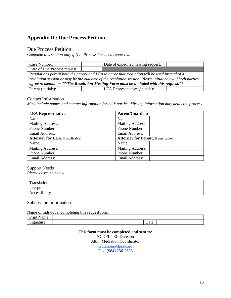# <span id="page-15-0"></span>**Appendix D : Due Process Petition**

### Due Process Petition

*Complete this section only if Due Process has been requested.*

| Case Number:                                                                                                                                                                                                                                                                                        |  | Date of expedited hearing request: |  |
|-----------------------------------------------------------------------------------------------------------------------------------------------------------------------------------------------------------------------------------------------------------------------------------------------------|--|------------------------------------|--|
| Date of Due Process request:                                                                                                                                                                                                                                                                        |  |                                    |  |
| Regulations permit both the parent and LEA to agree that mediation will be used instead of a<br>resolution session or may be the outcome of the resolution session. Please initial below if both parties<br>agree to mediation. **The Resolution Meeting Form must be included with this request.** |  |                                    |  |
| Parent (initials):                                                                                                                                                                                                                                                                                  |  | LEA Representative (initials):     |  |

### Contact Information

*Must include names and contact information for both parties. Missing information may delay the process.*

| <b>LEA Representative</b>                | <b>Parent/Guardian</b>                      |  |
|------------------------------------------|---------------------------------------------|--|
| Name:                                    | Name:                                       |  |
| Mailing Address:                         | <b>Mailing Address:</b>                     |  |
| Phone Number:                            | Phone Number:                               |  |
| Email Address:                           | Email Address:                              |  |
| <b>Attorney for LEA</b> , if applicable: | <b>Attorney for Parent</b> , if applicable: |  |
| Name:                                    | Name:                                       |  |
| Mailing Address:                         | Mailing Address:                            |  |
| Phone Number:                            | Phone Number:                               |  |
| <b>Email Address:</b>                    | Email Address:                              |  |

Support Needs *Please describe below.*

| $T_{\rm{randation}}$ |  |
|----------------------|--|
| Interpreter          |  |
| Accessibility        |  |

### Submission Information

Name of individual completing this request form:

| - |  |  |
|---|--|--|

### **This form must be completed and sent to:**

NCDPI – EC Division Attn.: Mediation Coordinator [mediation@dpi.nc.gov](mailto:mediation@dpi.nc.gov) Fax: (984) 236-2693